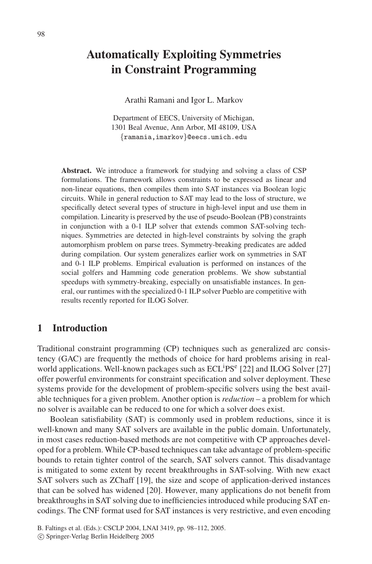# **Automatically Exploiting Symmetries in Constraint Programming**

Arathi Ramani and Igor L. Markov

Department of EECS, University of Michigan, 1301 Beal Avenue, Ann Arbor, MI 48109, USA *{*ramania,imarkov*}*@eecs.umich.edu

Abstract. We introduce a framework for studying and solving a class of CSP formulations. The framework allows constraints to be expressed as linear and non-linear equations, then compiles them into SAT instances via Boolean logic circuits. While in general reduction to SAT may lead to the loss of structure, we specifically detect several types of structure in high-level input and use them in compilation. Linearity is preserved by the use of pseudo-Boolean (PB) constraints in conjunction with a 0-1 ILP solver that extends common SAT-solving techniques. Symmetries are detected in high-level constraints by solving the graph automorphism problem on parse trees. Symmetry-breaking predicates are added during compilation. Our system generalizes earlier work on symmetries in SAT and 0-1 ILP problems. Empirical evaluation is performed on instances of the social golfers and Hamming code generation problems. We show substantial speedups with symmetry-breaking, especially on unsatisfiable instances. In general, our runtimes with the specialized 0-1 ILP solver Pueblo are competitive with results recently reported for ILOG Solver.

### **1 Introduction**

Traditional constraint programming (CP) techniques such as generalized arc consistency (GAC) are frequently the methods of choice for hard problems arising in realworld applications. Well-known packages such as ECL<sup>i</sup>PS<sup>e</sup> [22] and ILOG Solver [27] offer powerful environments for constraint specification and solver deployment. These systems provide for the development of problem-specific solvers using the best available techniques for a given problem. Another option is *reduction* – a problem for which no solver is available can be reduced to one for which a solver does exist.

Boolean satisfiability (SAT) is commonly used in problem reductions, since it is well-known and many SAT solvers are available in the public domain. Unfortunately, in most cases reduction-based methods are not competitive with CP approaches developed for a problem. While CP-based techniques can take advantage of problem-specific bounds to retain tighter control of the search, SAT solvers cannot. This disadvantage is mitigated to some extent by recent breakthroughs in SAT-solving. With new exact SAT solvers such as ZChaff [19], the size and scope of application-derived instances that can be solved has widened [20]. However, many applications do not benefit from breakthroughs in SAT solving due to inefficiencies introduced while producing SAT encodings. The CNF format used for SAT instances is very restrictive, and even encoding

B. Faltings et al. (Eds.): CSCLP 2004, LNAI 3419, pp. 98–112, 2005.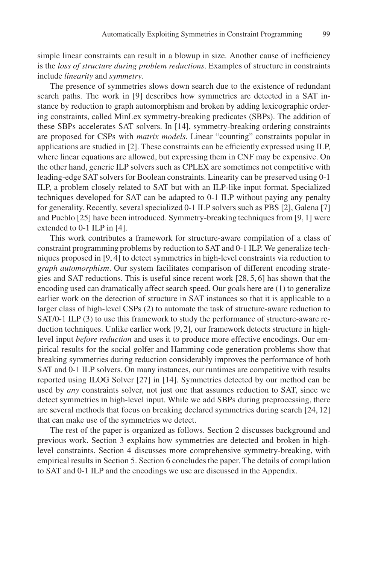simple linear constraints can result in a blowup in size. Another cause of inefficiency is the *loss of structure during problem reductions*. Examples of structure in constraints include *linearity* and *symmetry*.

The presence of symmetries slows down search due to the existence of redundant search paths. The work in [9] describes how symmetries are detected in a SAT instance by reduction to graph automorphism and broken by adding lexicographic ordering constraints, called MinLex symmetry-breaking predicates (SBPs). The addition of these SBPs accelerates SAT solvers. In [14], symmetry-breaking ordering constraints are proposed for CSPs with *matrix models*. Linear "counting" constraints popular in applications are studied in [2]. These constraints can be efficiently expressed using ILP, where linear equations are allowed, but expressing them in CNF may be expensive. On the other hand, generic ILP solvers such as CPLEX are sometimes not competitive with leading-edge SAT solvers for Boolean constraints. Linearity can be preserved using 0-1 ILP, a problem closely related to SAT but with an ILP-like input format. Specialized techniques developed for SAT can be adapted to 0-1 ILP without paying any penalty for generality. Recently, several specialized 0-1 ILP solvers such as PBS [2], Galena [7] and Pueblo [25] have been introduced. Symmetry-breaking techniques from [9, 1] were extended to 0-1 ILP in [4].

This work contributes a framework for structure-aware compilation of a class of constraint programming problems by reduction to SAT and 0-1 ILP. We generalize techniques proposed in [9, 4] to detect symmetries in high-level constraints via reduction to *graph automorphism*. Our system facilitates comparison of different encoding strategies and SAT reductions. This is useful since recent work [28, 5, 6] has shown that the encoding used can dramatically affect search speed. Our goals here are (1) to generalize earlier work on the detection of structure in SAT instances so that it is applicable to a larger class of high-level CSPs (2) to automate the task of structure-aware reduction to SAT/0-1 ILP (3) to use this framework to study the performance of structure-aware reduction techniques. Unlike earlier work [9, 2], our framework detects structure in highlevel input *before reduction* and uses it to produce more effective encodings. Our empirical results for the social golfer and Hamming code generation problems show that breaking symmetries during reduction considerably improves the performance of both SAT and 0-1 ILP solvers. On many instances, our runtimes are competitive with results reported using ILOG Solver [27] in [14]. Symmetries detected by our method can be used by *any* constraints solver, not just one that assumes reduction to SAT, since we detect symmetries in high-level input. While we add SBPs during preprocessing, there are several methods that focus on breaking declared symmetries during search [24, 12] that can make use of the symmetries we detect.

The rest of the paper is organized as follows. Section 2 discusses background and previous work. Section 3 explains how symmetries are detected and broken in highlevel constraints. Section 4 discusses more comprehensive symmetry-breaking, with empirical results in Section 5. Section 6 concludes the paper. The details of compilation to SAT and 0-1 ILP and the encodings we use are discussed in the Appendix.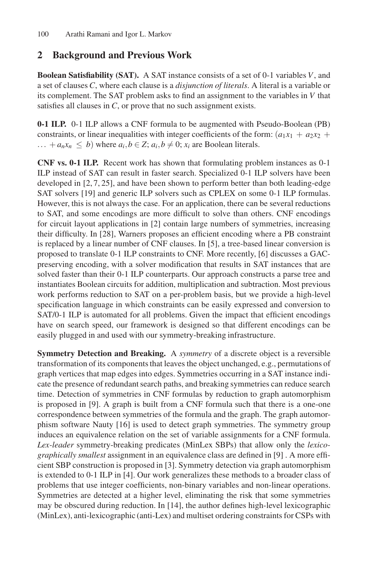# **2 Background and Previous Work**

**Boolean Satisfiability (SAT).** A SAT instance consists of a set of 0-1 variables *V*, and a set of clauses *C*, where each clause is a *disjunction of literals*. A literal is a variable or its complement. The SAT problem asks to find an assignment to the variables in *V* that satisfies all clauses in *C*, or prove that no such assignment exists.

**0-1 ILP.** 0-1 ILP allows a CNF formula to be augmented with Pseudo-Boolean (PB) constraints, or linear inequalities with integer coefficients of the form:  $(a_1x_1 + a_2x_2 + a_3x_3)$  $\ldots$  +  $a_n x_n \leq b$ ) where  $a_i, b \in \mathbb{Z}$ ;  $a_i, b \neq 0$ ;  $x_i$  are Boolean literals.

**CNF vs. 0-1 ILP.** Recent work has shown that formulating problem instances as 0-1 ILP instead of SAT can result in faster search. Specialized 0-1 ILP solvers have been developed in [2, 7, 25], and have been shown to perform better than both leading-edge SAT solvers [19] and generic ILP solvers such as CPLEX on some 0-1 ILP formulas. However, this is not always the case. For an application, there can be several reductions to SAT, and some encodings are more difficult to solve than others. CNF encodings for circuit layout applications in [2] contain large numbers of symmetries, increasing their difficulty. In [28], Warners proposes an efficient encoding where a PB constraint is replaced by a linear number of CNF clauses. In [5], a tree-based linear conversion is proposed to translate 0-1 ILP constraints to CNF. More recently, [6] discusses a GACpreserving encoding, with a solver modification that results in SAT instances that are solved faster than their 0-1 ILP counterparts. Our approach constructs a parse tree and instantiates Boolean circuits for addition, multiplication and subtraction. Most previous work performs reduction to SAT on a per-problem basis, but we provide a high-level specification language in which constraints can be easily expressed and conversion to SAT/0-1 ILP is automated for all problems. Given the impact that efficient encodings have on search speed, our framework is designed so that different encodings can be easily plugged in and used with our symmetry-breaking infrastructure.

**Symmetry Detection and Breaking.** A *symmetry* of a discrete object is a reversible transformation of its components that leaves the object unchanged, e.g., permutations of graph vertices that map edges into edges. Symmetries occurring in a SAT instance indicate the presence of redundant search paths, and breaking symmetries can reduce search time. Detection of symmetries in CNF formulas by reduction to graph automorphism is proposed in [9]. A graph is built from a CNF formula such that there is a one-one correspondence between symmetries of the formula and the graph. The graph automorphism software Nauty [16] is used to detect graph symmetries. The symmetry group induces an equivalence relation on the set of variable assignments for a CNF formula. *Lex-leader* symmetry-breaking predicates (MinLex SBPs) that allow only the *lexicographically smallest* assignment in an equivalence class are defined in [9] . A more efficient SBP construction is proposed in [3]. Symmetry detection via graph automorphism is extended to 0-1 ILP in [4]. Our work generalizes these methods to a broader class of problems that use integer coefficients, non-binary variables and non-linear operations. Symmetries are detected at a higher level, eliminating the risk that some symmetries may be obscured during reduction. In [14], the author defines high-level lexicographic (MinLex), anti-lexicographic (anti-Lex) and multiset ordering constraints for CSPs with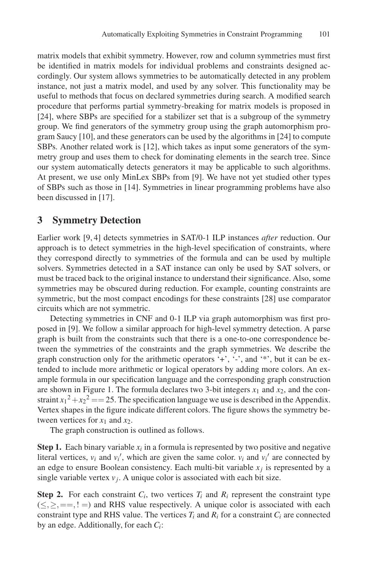matrix models that exhibit symmetry. However, row and column symmetries must first be identified in matrix models for individual problems and constraints designed accordingly. Our system allows symmetries to be automatically detected in any problem instance, not just a matrix model, and used by any solver. This functionality may be useful to methods that focus on declared symmetries during search. A modified search procedure that performs partial symmetry-breaking for matrix models is proposed in [24], where SBPs are specified for a stabilizer set that is a subgroup of the symmetry group. We find generators of the symmetry group using the graph automorphism program Saucy [10], and these generators can be used by the algorithms in [24] to compute SBPs. Another related work is [12], which takes as input some generators of the symmetry group and uses them to check for dominating elements in the search tree. Since our system automatically detects generators it may be applicable to such algorithms. At present, we use only MinLex SBPs from [9]. We have not yet studied other types of SBPs such as those in [14]. Symmetries in linear programming problems have also been discussed in [17].

### **3 Symmetry Detection**

Earlier work [9, 4] detects symmetries in SAT/0-1 ILP instances *after* reduction. Our approach is to detect symmetries in the high-level specification of constraints, where they correspond directly to symmetries of the formula and can be used by multiple solvers. Symmetries detected in a SAT instance can only be used by SAT solvers, or must be traced back to the original instance to understand their significance. Also, some symmetries may be obscured during reduction. For example, counting constraints are symmetric, but the most compact encodings for these constraints [28] use comparator circuits which are not symmetric.

Detecting symmetries in CNF and 0-1 ILP via graph automorphism was first proposed in [9]. We follow a similar approach for high-level symmetry detection. A parse graph is built from the constraints such that there is a one-to-one correspondence between the symmetries of the constraints and the graph symmetries. We describe the graph construction only for the arithmetic operators ' $+$ ', ' $-$ ', and '\*', but it can be extended to include more arithmetic or logical operators by adding more colors. An example formula in our specification language and the corresponding graph construction are shown in Figure 1. The formula declares two 3-bit integers  $x_1$  and  $x_2$ , and the constraint  $x_1^2 + x_2^2 = 25$ . The specification language we use is described in the Appendix. Vertex shapes in the figure indicate different colors. The figure shows the symmetry between vertices for  $x_1$  and  $x_2$ .

The graph construction is outlined as follows.

**Step 1.** Each binary variable  $x_i$  in a formula is represented by two positive and negative literal vertices,  $v_i$  and  $v'_i$ , which are given the same color.  $v_i$  and  $v'_i$  are connected by an edge to ensure Boolean consistency. Each multi-bit variable  $x_i$  is represented by a single variable vertex  $v_i$ . A unique color is associated with each bit size.

**Step 2.** For each constraint  $C_i$ , two vertices  $T_i$  and  $R_i$  represent the constraint type  $(\leq, \geq, ==, ! =)$  and RHS value respectively. A unique color is associated with each constraint type and RHS value. The vertices  $T_i$  and  $R_i$  for a constraint  $C_i$  are connected by an edge. Additionally, for each *Ci*: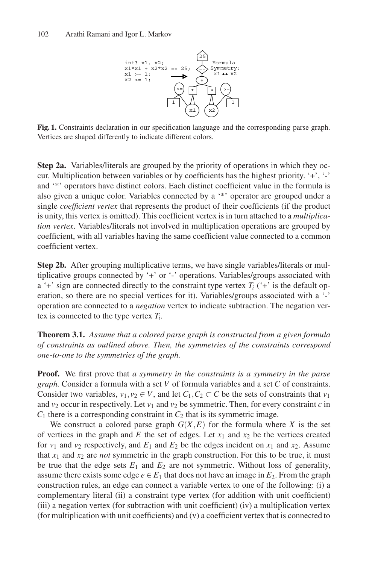

**Fig. 1.** Constraints declaration in our specification language and the corresponding parse graph. Vertices are shaped differently to indicate different colors.

**Step 2a.** Variables/literals are grouped by the priority of operations in which they occur. Multiplication between variables or by coefficients has the highest priority. '+', '-' and '\*' operators have distinct colors. Each distinct coefficient value in the formula is also given a unique color. Variables connected by a '\*' operator are grouped under a single *coefficient vertex* that represents the product of their coefficients (if the product is unity, this vertex is omitted). This coefficient vertex is in turn attached to a *multiplication vertex*. Variables/literals not involved in multiplication operations are grouped by coefficient, with all variables having the same coefficient value connected to a common coefficient vertex.

**Step 2b.** After grouping multiplicative terms, we have single variables/literals or multiplicative groups connected by '+' or '-' operations. Variables/groups associated with a '+' sign are connected directly to the constraint type vertex  $T_i$  ('+' is the default operation, so there are no special vertices for it). Variables/groups associated with a '-' operation are connected to a *negation* vertex to indicate subtraction. The negation vertex is connected to the type vertex *Ti*.

**Theorem 3.1.** *Assume that a colored parse graph is constructed from a given formula of constraints as outlined above. Then, the symmetries of the constraints correspond one-to-one to the symmetries of the graph.*

**Proof.** We first prove that *a symmetry in the constraints is a symmetry in the parse graph.* Consider a formula with a set *V* of formula variables and a set *C* of constraints. Consider two variables,  $v_1, v_2 \in V$ , and let  $C_1, C_2 \subset C$  be the sets of constraints that  $v_1$ and  $v_2$  occur in respectively. Let  $v_1$  and  $v_2$  be symmetric. Then, for every constraint *c* in  $C_1$  there is a corresponding constraint in  $C_2$  that is its symmetric image.

We construct a colored parse graph  $G(X, E)$  for the formula where X is the set of vertices in the graph and  $E$  the set of edges. Let  $x_1$  and  $x_2$  be the vertices created for  $v_1$  and  $v_2$  respectively, and  $E_1$  and  $E_2$  be the edges incident on  $x_1$  and  $x_2$ . Assume that  $x_1$  and  $x_2$  are *not* symmetric in the graph construction. For this to be true, it must be true that the edge sets  $E_1$  and  $E_2$  are not symmetric. Without loss of generality, assume there exists some edge  $e \in E_1$  that does not have an image in  $E_2$ . From the graph construction rules, an edge can connect a variable vertex to one of the following: (i) a complementary literal (ii) a constraint type vertex (for addition with unit coefficient) (iii) a negation vertex (for subtraction with unit coefficient) (iv) a multiplication vertex (for multiplication with unit coefficients) and (v) a coefficient vertex that is connected to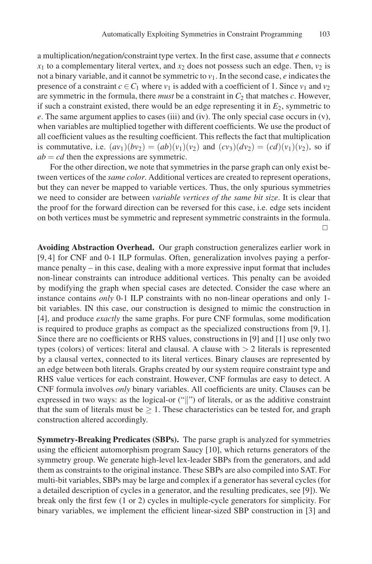a multiplication/negation/constraint type vertex. In the first case, assume that *e* connects  $x_1$  to a complementary literal vertex, and  $x_2$  does not possess such an edge. Then,  $v_2$  is not a binary variable, and it cannot be symmetric to  $v_1$ . In the second case, *e* indicates the presence of a constraint  $c \in C_1$  where  $v_1$  is added with a coefficient of 1. Since  $v_1$  and  $v_2$ are symmetric in the formula, there *must* be a constraint in  $C_2$  that matches  $c$ . However, if such a constraint existed, there would be an edge representing it in  $E_2$ , symmetric to *e*. The same argument applies to cases (iii) and (iv). The only special case occurs in (v), when variables are multiplied together with different coefficients. We use the product of all coefficient values as the resulting coefficient. This reflects the fact that multiplication is commutative, i.e.  $(av_1)(bv_2)=(ab)(v_1)(v_2)$  and  $(cv_3)(dv_2)=(cd)(v_1)(v_2)$ , so if  $ab = cd$  then the expressions are symmetric.

For the other direction, we note that symmetries in the parse graph can only exist between vertices of the *same color*. Additional vertices are created to represent operations, but they can never be mapped to variable vertices. Thus, the only spurious symmetries we need to consider are between *variable vertices of the same bit size*. It is clear that the proof for the forward direction can be reversed for this case, i.e. edge sets incident on both vertices must be symmetric and represent symmetric constraints in the formula.  $\Box$ 

**Avoiding Abstraction Overhead.** Our graph construction generalizes earlier work in [9, 4] for CNF and 0-1 ILP formulas. Often, generalization involves paying a performance penalty – in this case, dealing with a more expressive input format that includes non-linear constraints can introduce additional vertices. This penalty can be avoided by modifying the graph when special cases are detected. Consider the case where an instance contains *only* 0-1 ILP constraints with no non-linear operations and only 1 bit variables. IN this case, our construction is designed to mimic the construction in [4], and produce *exactly* the same graphs. For pure CNF formulas, some modification is required to produce graphs as compact as the specialized constructions from [9, 1]. Since there are no coefficients or RHS values, constructions in [9] and [1] use only two types (colors) of vertices: literal and clausal. A clause with *>* 2 literals is represented by a clausal vertex, connected to its literal vertices. Binary clauses are represented by an edge between both literals. Graphs created by our system require constraint type and RHS value vertices for each constraint. However, CNF formulas are easy to detect. A CNF formula involves *only* binary variables. All coefficients are unity. Clauses can be expressed in two ways: as the logical-or ("||") of literals, or as the additive constraint that the sum of literals must be  $\geq 1$ . These characteristics can be tested for, and graph construction altered accordingly.

**Symmetry-Breaking Predicates (SBPs).** The parse graph is analyzed for symmetries using the efficient automorphism program Saucy [10], which returns generators of the symmetry group. We generate high-level lex-leader SBPs from the generators, and add them as constraints to the original instance. These SBPs are also compiled into SAT. For multi-bit variables, SBPs may be large and complex if a generator has several cycles (for a detailed description of cycles in a generator, and the resulting predicates, see [9]). We break only the first few (1 or 2) cycles in multiple-cycle generators for simplicity. For binary variables, we implement the efficient linear-sized SBP construction in [3] and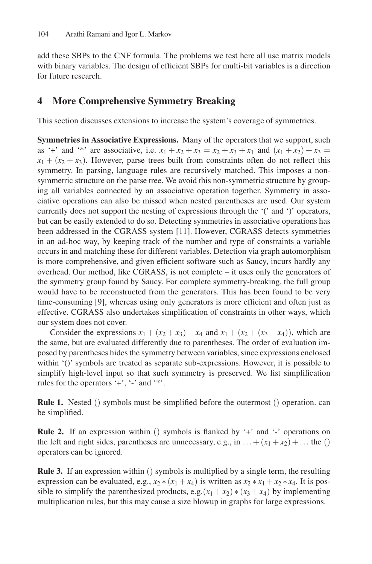add these SBPs to the CNF formula. The problems we test here all use matrix models with binary variables. The design of efficient SBPs for multi-bit variables is a direction for future research.

# **4 More Comprehensive Symmetry Breaking**

This section discusses extensions to increase the system's coverage of symmetries.

**Symmetries in Associative Expressions.** Many of the operators that we support, such as '+' and '\*' are associative, i.e.  $x_1 + x_2 + x_3 = x_2 + x_3 + x_1$  and  $(x_1 + x_2) + x_3 =$  $x_1 + (x_2 + x_3)$ . However, parse trees built from constraints often do not reflect this symmetry. In parsing, language rules are recursively matched. This imposes a nonsymmetric structure on the parse tree. We avoid this non-symmetric structure by grouping all variables connected by an associative operation together. Symmetry in associative operations can also be missed when nested parentheses are used. Our system currently does not support the nesting of expressions through the '(' and ')' operators, but can be easily extended to do so. Detecting symmetries in associative operations has been addressed in the CGRASS system [11]. However, CGRASS detects symmetries in an ad-hoc way, by keeping track of the number and type of constraints a variable occurs in and matching these for different variables. Detection via graph automorphism is more comprehensive, and given efficient software such as Saucy, incurs hardly any overhead. Our method, like CGRASS, is not complete – it uses only the generators of the symmetry group found by Saucy. For complete symmetry-breaking, the full group would have to be reconstructed from the generators. This has been found to be very time-consuming [9], whereas using only generators is more efficient and often just as effective. CGRASS also undertakes simplification of constraints in other ways, which our system does not cover.

Consider the expressions  $x_1 + (x_2 + x_3) + x_4$  and  $x_1 + (x_2 + (x_3 + x_4))$ , which are the same, but are evaluated differently due to parentheses. The order of evaluation imposed by parentheses hides the symmetry between variables, since expressions enclosed within '()' symbols are treated as separate sub-expressions. However, it is possible to simplify high-level input so that such symmetry is preserved. We list simplification rules for the operators '+', '-' and '\*'.

**Rule 1.** Nested () symbols must be simplified before the outermost () operation. can be simplified.

**Rule 2.** If an expression within () symbols is flanked by '+' and '-' operations on the left and right sides, parentheses are unnecessary, e.g., in  $\dots + (x_1 + x_2) + \dots$  the () operators can be ignored.

**Rule 3.** If an expression within () symbols is multiplied by a single term, the resulting expression can be evaluated, e.g.,  $x_2 * (x_1 + x_4)$  is written as  $x_2 * x_1 + x_2 * x_4$ . It is possible to simplify the parenthesized products, e.g. $(x_1 + x_2) * (x_3 + x_4)$  by implementing multiplication rules, but this may cause a size blowup in graphs for large expressions.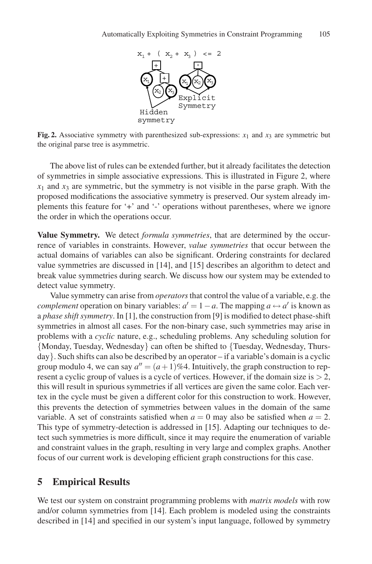

**Fig. 2.** Associative symmetry with parenthesized sub-expressions:  $x_1$  and  $x_3$  are symmetric but the original parse tree is asymmetric.

The above list of rules can be extended further, but it already facilitates the detection of symmetries in simple associative expressions. This is illustrated in Figure 2, where  $x_1$  and  $x_3$  are symmetric, but the symmetry is not visible in the parse graph. With the proposed modifications the associative symmetry is preserved. Our system already implements this feature for '+' and '-' operations without parentheses, where we ignore the order in which the operations occur.

**Value Symmetry.** We detect *formula symmetries*, that are determined by the occurrence of variables in constraints. However, *value symmetries* that occur between the actual domains of variables can also be significant. Ordering constraints for declared value symmetries are discussed in [14], and [15] describes an algorithm to detect and break value symmetries during search. We discuss how our system may be extended to detect value symmetry.

Value symmetry can arise from *operators*that control the value of a variable, e.g. the *complement* operation on binary variables:  $a' = 1 - a$ . The mapping  $a \leftrightarrow a'$  is known as a *phase shift symmetry*. In [1], the construction from [9] is modified to detect phase-shift symmetries in almost all cases. For the non-binary case, such symmetries may arise in problems with a *cyclic* nature, e.g., scheduling problems. Any scheduling solution for {Monday, Tuesday, Wednesday} can often be shifted to {Tuesday, Wednesday, Thursday}. Such shifts can also be described by an operator – if a variable's domain is a cyclic group modulo 4, we can say  $a'' = (a+1)\%4$ . Intuitively, the graph construction to represent a cyclic group of values is a cycle of vertices. However, if the domain size is *>* 2, this will result in spurious symmetries if all vertices are given the same color. Each vertex in the cycle must be given a different color for this construction to work. However, this prevents the detection of symmetries between values in the domain of the same variable. A set of constraints satisfied when  $a = 0$  may also be satisfied when  $a = 2$ . This type of symmetry-detection is addressed in [15]. Adapting our techniques to detect such symmetries is more difficult, since it may require the enumeration of variable and constraint values in the graph, resulting in very large and complex graphs. Another focus of our current work is developing efficient graph constructions for this case.

### **5 Empirical Results**

We test our system on constraint programming problems with *matrix models* with row and/or column symmetries from [14]. Each problem is modeled using the constraints described in [14] and specified in our system's input language, followed by symmetry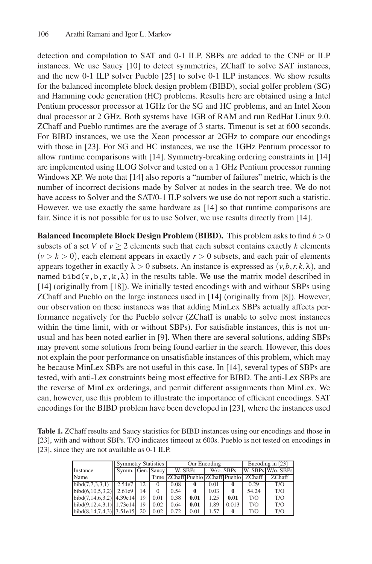detection and compilation to SAT and 0-1 ILP. SBPs are added to the CNF or ILP instances. We use Saucy [10] to detect symmetries, ZChaff to solve SAT instances, and the new 0-1 ILP solver Pueblo [25] to solve 0-1 ILP instances. We show results for the balanced incomplete block design problem (BIBD), social golfer problem (SG) and Hamming code generation (HC) problems. Results here are obtained using a Intel Pentium processor processor at 1GHz for the SG and HC problems, and an Intel Xeon dual processor at 2 GHz. Both systems have 1GB of RAM and run RedHat Linux 9.0. ZChaff and Pueblo runtimes are the average of 3 starts. Timeout is set at 600 seconds. For BIBD instances, we use the Xeon processor at 2GHz to compare our encodings with those in [23]. For SG and HC instances, we use the 1GHz Pentium processor to allow runtime comparisons with [14]. Symmetry-breaking ordering constraints in [14] are implemented using ILOG Solver and tested on a 1 GHz Pentium processor running Windows XP. We note that [14] also reports a "number of failures" metric, which is the number of incorrect decisions made by Solver at nodes in the search tree. We do not have access to Solver and the SAT/0-1 ILP solvers we use do not report such a statistic. However, we use exactly the same hardware as [14] so that runtime comparisons are fair. Since it is not possible for us to use Solver, we use results directly from [14].

**Balanced Incomplete Block Design Problem (BIBD).** This problem asks to find *b >* 0 subsets of a set *V* of  $v \ge 2$  elements such that each subset contains exactly *k* elements  $(v > k > 0)$ , each element appears in exactly  $r > 0$  subsets, and each pair of elements appears together in exactly  $\lambda > 0$  subsets. An instance is expressed as  $(\nu, b, r, k, \lambda)$ , and named bibd(v,b,r,k, $\lambda$ ) in the results table. We use the matrix model described in [14] (originally from [18]). We initially tested encodings with and without SBPs using ZChaff and Pueblo on the large instances used in [14] (originally from [8]). However, our observation on these instances was that adding MinLex SBPs actually affects performance negatively for the Pueblo solver (ZChaff is unable to solve most instances within the time limit, with or without SBPs). For satisfiable instances, this is not unusual and has been noted earlier in [9]. When there are several solutions, adding SBPs may prevent some solutions from being found earlier in the search. However, this does not explain the poor performance on unsatisfiable instances of this problem, which may be because MinLex SBPs are not useful in this case. In [14], several types of SBPs are tested, with anti-Lex constraints being most effective for BIBD. The anti-Lex SBPs are the reverse of MinLex orderings, and permit different assignments than MinLex. We can, however, use this problem to illustrate the importance of efficient encodings. SAT encodings for the BIBD problem have been developed in [23], where the instances used

| Table 1. ZChaff results and Saucy statistics for BIBD instances using our encodings and those in |
|--------------------------------------------------------------------------------------------------|
| [23], with and without SBPs. T/O indicates timeout at 600s. Pueblo is not tested on encodings in |
| [23], since they are not available as 0-1 ILP.                                                   |

|                                | <b>Symmetry Statistics</b> |     |      |         | Our Encoding | Encoding in [23]                 |              |        |                   |  |
|--------------------------------|----------------------------|-----|------|---------|--------------|----------------------------------|--------------|--------|-------------------|--|
| Instance                       | Symm. Gen. Saucy           |     |      | W. SBPs |              | W/o. SBPs                        |              |        | W. SBPs W/o. SBPs |  |
| Name                           |                            |     |      |         |              | Time ZChaff Pueblo ZChaff Pueblo |              | ZChaff | ZChaff            |  |
| $\overline{bibd(7,7,3,3,1)}$   | $\blacksquare$ 2.54e7      | 12. |      | 0.08    | 0            | 0.01                             | $\mathbf{0}$ | 0.29   | T/O               |  |
| $bibd(6, 10, 5, 3, 2)$ 2.61e9  |                            | 14  |      | 0.54    |              | 0.03                             | $\bf{0}$     | 54.24  | T/O               |  |
| $bibd(7,14,6,3,2)$ 4.39e14     |                            | 19  | 0.01 | 0.38    | 0.01         | 1.25                             | 0.01         | T/O    | T/O               |  |
| bibd(9,12,4,3,1)  1.73e14      |                            | 19  | 0.02 | 0.64    | 0.01         | 1.89                             | 0.013        | T/O    | T/O               |  |
| $bibd(8, 14, 7, 4, 3)$ 3.51e15 |                            | 20  | 0.02 | 0.72    | 0.01         | 1.57                             | $\bf{0}$     | T/O    | T/O               |  |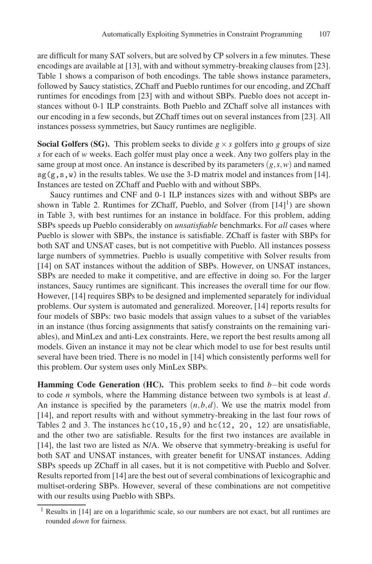are difficult for many SAT solvers, but are solved by CP solvers in a few minutes. These encodings are available at [13], with and without symmetry-breaking clauses from [23]. Table 1 shows a comparison of both encodings. The table shows instance parameters, followed by Saucy statistics, ZChaff and Pueblo runtimes for our encoding, and ZChaff runtimes for encodings from [23] with and without SBPs. Pueblo does not accept instances without 0-1 ILP constraints. Both Pueblo and ZChaff solve all instances with our encoding in a few seconds, but ZChaff times out on several instances from [23]. All instances possess symmetries, but Saucy runtimes are negligible.

**Social Golfers (SG).** This problem seeks to divide  $g \times s$  golfers into g groups of size *s* for each of *w* weeks. Each golfer must play once a week. Any two golfers play in the same group at most once. An instance is described by its parameters  $(g, s, w)$  and named  $sg(g, s, w)$  in the results tables. We use the 3-D matrix model and instances from [14]. Instances are tested on ZChaff and Pueblo with and without SBPs.

Saucy runtimes and CNF and 0-1 ILP instances sizes with and without SBPs are shown in Table 2. Runtimes for ZChaff, Pueblo, and Solver (from  $[14]$ <sup>1</sup>) are shown in Table 3, with best runtimes for an instance in boldface. For this problem, adding SBPs speeds up Pueblo considerably on *unsatisfiable* benchmarks. For *all* cases where Pueblo is slower with SBPs, the instance is satisfiable. ZChaff is faster with SBPs for both SAT and UNSAT cases, but is not competitive with Pueblo. All instances possess large numbers of symmetries. Pueblo is usually competitive with Solver results from [14] on SAT instances without the addition of SBPs. However, on UNSAT instances, SBPs are needed to make it competitive, and are effective in doing so. For the larger instances, Saucy runtimes are significant. This increases the overall time for our flow. However, [14] requires SBPs to be designed and implemented separately for individual problems. Our system is automated and generalized. Moreover, [14] reports results for four models of SBPs: two basic models that assign values to a subset of the variables in an instance (thus forcing assignments that satisfy constraints on the remaining variables), and MinLex and anti-Lex constraints. Here, we report the best results among all models. Given an instance it may not be clear which model to use for best results until several have been tried. There is no model in [14] which consistently performs well for this problem. Our system uses only MinLex SBPs.

**Hamming Code Generation (HC).** This problem seeks to find *b*−bit code words to code *n* symbols, where the Hamming distance between two symbols is at least *d*. An instance is specified by the parameters  $(n, b, d)$ . We use the matrix model from [14], and report results with and without symmetry-breaking in the last four rows of Tables 2 and 3. The instances  $hc(10,15,9)$  and  $hc(12, 20, 12)$  are unsatisfiable, and the other two are satisfiable. Results for the first two instances are available in [14], the last two are listed as N/A. We observe that symmetry-breaking is useful for both SAT and UNSAT instances, with greater benefit for UNSAT instances. Adding SBPs speeds up ZChaff in all cases, but it is not competitive with Pueblo and Solver. Results reported from [14] are the best out of several combinations of lexicographic and multiset-ordering SBPs. However, several of these combinations are not competitive with our results using Pueblo with SBPs.

<sup>1</sup> Results in [14] are on a logarithmic scale, so our numbers are not exact, but all runtimes are rounded *down* for fairness.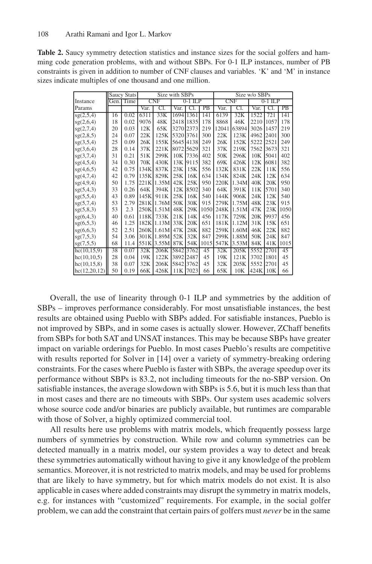| <b>Table 2.</b> Saucy symmetry detection statistics and instance sizes for the social golfers and ham- |
|--------------------------------------------------------------------------------------------------------|
| ming code generation problems, with and without SBPs. For 0-1 ILP instances, number of PB              |
| constraints is given in addition to number of CNF clauses and variables. 'K' and 'M' in instance       |
| sizes indicate multiples of one thousand and one million.                                              |

|                |      | <b>Saucy Stats</b> | Size with SBPs |       |           |            | Size w/o SBPs |           |       |      |      |      |
|----------------|------|--------------------|----------------|-------|-----------|------------|---------------|-----------|-------|------|------|------|
| Instance       | Gen. | Time               | <b>CNF</b>     |       | $0-1$ ILP | <b>CNF</b> |               | $0-1$ ILP |       |      |      |      |
| Params         |      |                    | Var.           | C1.   | Var.      |            | PB            | Var.      | Cl.   | Var. | СI   | PB   |
| sg(2,5,4)      | 16   | 0.02               | 6311           | 33K   |           | 1694 1361  | 141           | 6139      | 32K   | 1522 | 721  | 141  |
| sg(2,6,4)      | 18   | 0.02               | 9076           | 48K   |           | 2418 1835  | 178           | 8868      | 46K   | 2210 | 1057 | 178  |
| sg(2,7,4)      | 20   | 0.03               | 12K            | 65K   |           | 3270 2373  | 219           | 12041     | 63894 | 3026 | 1457 | 219  |
| sg(2,8,5)      | 24   | 0.07               | 22K            | 125K  | 5320 3761 |            | 300           | 22K       | 123K  | 4962 | 2401 | 300  |
| sg(3,5,4)      | 25   | 0.09               | 26K            | 155K  |           | 5645 4138  | 249           | 26K       | 152K  | 5222 | 2521 | 249  |
| sg(3,6,4)      | 28   | 0.14               | 37K            | 221K  |           | 8072 5629  | 321           | 37K       | 219K  | 7562 | 3673 | 321  |
| sg(3,7,4)      | 31   | 0.21               | 51K            | 299K  | 10K       | 7336       | 402           | 50K       | 296K  | 10K  | 5041 | 402  |
| sg(4,5,4)      | 34   | 0.30               | 70K            | 430K  | 13K       | 9115       | 382           | 69K       | 426K  | 12K  | 6081 | 382  |
| sg(4,6,5)      | 42   | 0.75               | 134K           | 837K  | 23K       | 15K        | 556           | 132K      | 831K  | 22K  | 11K  | 556  |
| sg(4,7,4)      | 42   | 0.79               | 135K           | 829K  | 25K       | 16K        | 634           | 134K      | 824K  | 24K  | 12K  | 634  |
| sg(4,9,4)      | 50   | 1.75               | 221K           | 1.35M | 42K       | 25K        | 950           | 220K      | 1.34M | 40K  | 20K  | 950  |
| sg(5, 4, 3)    | 33   | 0.26               | 64K            | 394K  | 12K       | 8502       | 340           | 64K       | 391K  | 11K  | 5701 | 340  |
| sg(5,5,4)      | 43   | 0.89               | 145K           | 911K  | 25K       | 16K        | 540           | 144K      | 906K  | 24K  | 12K  | 540  |
| sg(5,7,4)      | 53   | 2.79               | 281K           | 1.76M | 50K       | 30K        | 915           | 279K      | 1.75M | 48K  | 23K  | 915  |
| sg(5,8,3)      | 53   | 2.3                | 250K           | 1.51M | 48K       | 29K        | 1050          | 248K      | 1.51M | 47K  | 23K  | 1050 |
| sg(6, 4, 3)    | 40   | 0.61               | 118K           | 733K  | 21K       | 14K        | 456           | 117K      | 729K  | 20K  | 9937 | 456  |
| sg(6,5,3)      | 46   | 1.25               | 182K           | 1.13M | 33K       | 20K        | 651           | 181K      | 1.12M | 31K  | 15K  | 651  |
| sg(6,6,3)      | 52   | 2.51               | 260K           | 1.61M | 47K       | 28K        | 882           | 259K      | 1.60M | 46K  | 22K  | 882  |
| sg(7,5,3)      | 54   | 3.06               | 301K           | 1.89M | 52K       | 32K        | 847           | 299K      | 1.88M | 50K  | 24K  | 847  |
| sg(7,5,5)      | 68   | 11.4               | 551K           | 3.55M | 87K       | 54K        | 1015          | 547K      | 3.53M | 84K  | 41K  | 1015 |
| hc(10,15,9)    | 38   | 0.07               | 32K            | 206K  | 5842      | 3762       | 45            | 32K       | 205K  | 5552 | 2701 | 45   |
| hc(10,10,5)    | 28   | 0.04               | 19K            | 122K  | 3892 2487 |            | 45            | 19K       | 121K  | 3702 | 1801 | 45   |
| hc(10, 15, 8)  | 38   | 0.07               | 32K            | 206K  |           | 5842 3762  | 45            | 32K       | 205K  | 5552 | 2701 | 45   |
| hc(12, 20, 12) | 50   | 0.19               | 66K            | 426K  | 11K       | 7023       | 66            | 65K       | 10K   | 424K | 10K  | 66   |

Overall, the use of linearity through 0-1 ILP and symmetries by the addition of SBPs – improves performance considerably. For most unsatisfiable instances, the best results are obtained using Pueblo with SBPs added. For satisfiable instances, Pueblo is not improved by SBPs, and in some cases is actually slower. However, ZChaff benefits from SBPs for both SAT and UNSAT instances. This may be because SBPs have greater impact on variable orderings for Pueblo. In most cases Pueblo's results are competitive with results reported for Solver in [14] over a variety of symmetry-breaking ordering constraints. For the cases where Pueblo is faster with SBPs, the average speedup over its performance without SBPs is 83.2, not including timeouts for the no-SBP version. On satisfiable instances, the average slowdown with SBPs is 5.6, but it is much less than that in most cases and there are no timeouts with SBPs. Our system uses academic solvers whose source code and/or binaries are publicly available, but runtimes are comparable with those of Solver, a highly optimized commercial tool.

All results here use problems with matrix models, which frequently possess large numbers of symmetries by construction. While row and column symmetries can be detected manually in a matrix model, our system provides a way to detect and break these symmetries automatically without having to give it any knowledge of the problem semantics. Moreover, it is not restricted to matrix models, and may be used for problems that are likely to have symmetry, but for which matrix models do not exist. It is also applicable in cases where added constraints may disrupt the symmetry in matrix models, e.g. for instances with "customized" requirements. For example, in the social golfer problem, we can add the constraint that certain pairs of golfers must *never* be in the same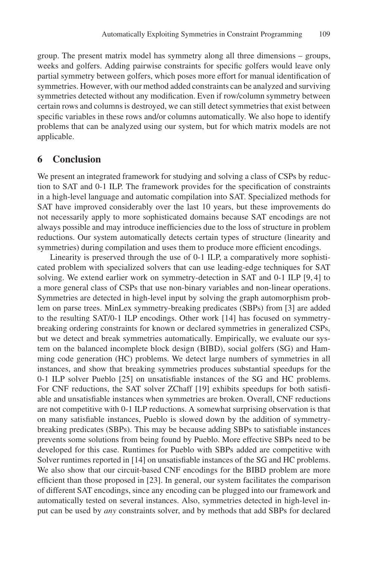group. The present matrix model has symmetry along all three dimensions – groups, weeks and golfers. Adding pairwise constraints for specific golfers would leave only partial symmetry between golfers, which poses more effort for manual identification of symmetries. However, with our method added constraints can be analyzed and surviving symmetries detected without any modification. Even if row/column symmetry between certain rows and columns is destroyed, we can still detect symmetries that exist between specific variables in these rows and/or columns automatically. We also hope to identify problems that can be analyzed using our system, but for which matrix models are not applicable.

#### **6 Conclusion**

We present an integrated framework for studying and solving a class of CSPs by reduction to SAT and 0-1 ILP. The framework provides for the specification of constraints in a high-level language and automatic compilation into SAT. Specialized methods for SAT have improved considerably over the last 10 years, but these improvements do not necessarily apply to more sophisticated domains because SAT encodings are not always possible and may introduce inefficiencies due to the loss of structure in problem reductions. Our system automatically detects certain types of structure (linearity and symmetries) during compilation and uses them to produce more efficient encodings.

Linearity is preserved through the use of 0-1 ILP, a comparatively more sophisticated problem with specialized solvers that can use leading-edge techniques for SAT solving. We extend earlier work on symmetry-detection in SAT and 0-1 ILP [9, 4] to a more general class of CSPs that use non-binary variables and non-linear operations. Symmetries are detected in high-level input by solving the graph automorphism problem on parse trees. MinLex symmetry-breaking predicates (SBPs) from [3] are added to the resulting SAT/0-1 ILP encodings. Other work [14] has focused on symmetrybreaking ordering constraints for known or declared symmetries in generalized CSPs, but we detect and break symmetries automatically. Empirically, we evaluate our system on the balanced incomplete block design (BIBD), social golfers (SG) and Hamming code generation (HC) problems. We detect large numbers of symmetries in all instances, and show that breaking symmetries produces substantial speedups for the 0-1 ILP solver Pueblo [25] on unsatisfiable instances of the SG and HC problems. For CNF reductions, the SAT solver ZChaff [19] exhibits speedups for both satisfiable and unsatisfiable instances when symmetries are broken. Overall, CNF reductions are not competitive with 0-1 ILP reductions. A somewhat surprising observation is that on many satisfiable instances, Pueblo is slowed down by the addition of symmetrybreaking predicates (SBPs). This may be because adding SBPs to satisfiable instances prevents some solutions from being found by Pueblo. More effective SBPs need to be developed for this case. Runtimes for Pueblo with SBPs added are competitive with Solver runtimes reported in [14] on unsatisfiable instances of the SG and HC problems. We also show that our circuit-based CNF encodings for the BIBD problem are more efficient than those proposed in [23]. In general, our system facilitates the comparison of different SAT encodings, since any encoding can be plugged into our framework and automatically tested on several instances. Also, symmetries detected in high-level input can be used by *any* constraints solver, and by methods that add SBPs for declared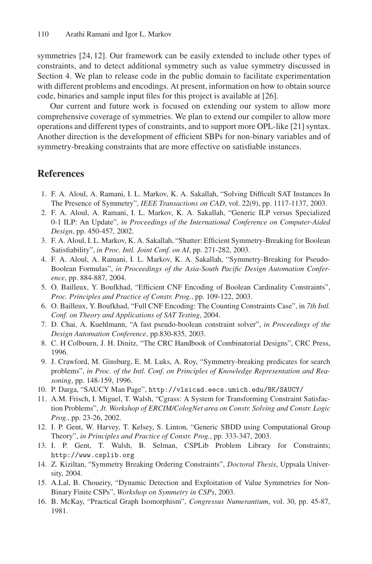symmetries [24, 12]. Our framework can be easily extended to include other types of constraints, and to detect additional symmetry such as value symmetry discussed in Section 4. We plan to release code in the public domain to facilitate experimentation with different problems and encodings. At present, information on how to obtain source code, binaries and sample input files for this project is available at [26].

Our current and future work is focused on extending our system to allow more comprehensive coverage of symmetries. We plan to extend our compiler to allow more operations and different types of constraints, and to support more OPL-like [21] syntax. Another direction is the development of efficient SBPs for non-binary variables and of symmetry-breaking constraints that are more effective on satisfiable instances.

### **References**

- 1. F. A. Aloul, A. Ramani, I. L. Markov, K. A. Sakallah, "Solving Difficult SAT Instances In The Presence of Symmetry", *IEEE Transactions on CAD*, vol. 22(9), pp. 1117-1137, 2003.
- 2. F. A. Aloul, A. Ramani, I. L. Markov, K. A. Sakallah, "Generic ILP versus Specialized 0-1 ILP: An Update", *in Proceedings of the International Conference on Computer-Aided Design*, pp. 450-457, 2002.
- 3. F. A. Aloul, I. L. Markov, K. A. Sakallah, "Shatter: Efficient Symmetry-Breaking for Boolean Satisfiability", *in Proc. Intl. Joint Conf. on AI*, pp. 271-282, 2003.
- 4. F. A. Aloul, A. Ramani, I. L. Markov, K. A. Sakallah, "Symmetry-Breaking for Pseudo-Boolean Formulas", *in Proceedings of the Asia-South Pacific Design Automation Conference*, pp. 884-887, 2004.
- 5. O. Bailleux, Y. Boufkhad, "Efficient CNF Encoding of Boolean Cardinality Constraints", *Proc. Principles and Practice of Constr. Prog.*, pp. 109-122, 2003.
- 6. O. Bailleux, Y. Boufkhad, "Full CNF Encoding: The Counting Constraints Case", in *7th Intl. Conf. on Theory and Applications of SAT Testing*, 2004.
- 7. D. Chai, A. Kuehlmann, "A fast pseudo-boolean constraint solver", *in Proceedings of the Design Automation Conference*, pp.830-835, 2003.
- 8. C. H Colbourn, J. H. Dinitz, "The CRC Handbook of Combinatorial Designs", CRC Press, 1996.
- 9. J. Crawford, M. Ginsburg, E. M. Luks, A. Roy, "Symmetry-breaking predicates for search problems", *in Proc. of the Intl. Conf. on Principles of Knowledge Representation and Reasoning*, pp. 148-159, 1996.
- 10. P. Darga, "SAUCY Man Page", http://vlsicad.eecs.umich.edu/BK/SAUCY/
- 11. A.M. Frisch, I. Miguel, T. Walsh, "Cgrass: A System for Transforming Constraint Satisfaction Problems", *Jt. Workshop of ERCIM/CologNet area on Constr. Solving and Constr. Logic Prog.*, pp. 23-26, 2002.
- 12. I. P. Gent, W. Harvey, T. Kelsey, S. Linton, "Generic SBDD using Computational Group Theory", *in Principles and Practice of Constr. Prog.*, pp. 333-347, 2003.
- 13. I. P. Gent, T. Walsh, B. Selman, CSPLib Problem Library for Constraints; http://www.csplib.org
- 14. Z. Kiziltan, "Symmetry Breaking Ordering Constraints", *Doctoral Thesis*, Uppsala University, 2004.
- 15. A.Lal, B. Choueiry, "Dynamic Detection and Exploitation of Value Symmetries for Non-Binary Finite CSPs", *Workshop on Symmetry in CSPs*, 2003.
- 16. B. McKay, "Practical Graph Isomorphism", *Congressus Numerantium*, vol. 30, pp. 45-87, 1981.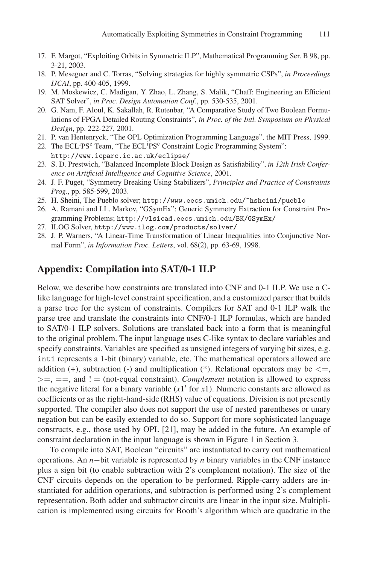- 17. F. Margot, "Exploiting Orbits in Symmetric ILP", Mathematical Programming Ser. B 98, pp. 3-21, 2003.
- 18. P. Meseguer and C. Torras, "Solving strategies for highly symmetric CSPs", *in Proceedings IJCAI*, pp. 400-405, 1999.
- 19. M. Moskewicz, C. Madigan, Y. Zhao, L. Zhang, S. Malik, "Chaff: Engineering an Efficient SAT Solver", *in Proc. Design Automation Conf.*, pp. 530-535, 2001.
- 20. G. Nam, F. Aloul, K. Sakallah, R. Rutenbar, "A Comparative Study of Two Boolean Formulations of FPGA Detailed Routing Constraints", *in Proc. of the Intl. Symposium on Physical Design*, pp. 222-227, 2001.
- 21. P. van Hentenryck, "The OPL Optimization Programming Language", the MIT Press, 1999.
- 22. The ECL<sup>i</sup>PS<sup>e</sup> Team, "The ECL<sup>i</sup>PS<sup>e</sup> Constraint Logic Programming System": http://www.icparc.ic.ac.uk/eclipse/
- 23. S. D. Prestwich, "Balanced Incomplete Block Design as Satisfiability", *in 12th Irish Conference on Artificial Intelligence and Cognitive Science*, 2001.
- 24. J. F. Puget, "Symmetry Breaking Using Stabilizers", *Principles and Practice of Constraints Prog.*, pp. 585-599, 2003.
- 25. H. Sheini, The Pueblo solver; http://www.eecs.umich.edu/~hsheini/pueblo
- 26. A. Ramani and I.L. Markov, "GSymEx": Generic Symmetry Extraction for Constraint Programming Problems; http://vlsicad.eecs.umich.edu/BK/GSymEx/
- 27. ILOG Solver, http://www.ilog.com/products/solver/
- 28. J. P. Warners, "A Linear-Time Transformation of Linear Inequalities into Conjunctive Normal Form", *in Information Proc. Letters*, vol. 68(2), pp. 63-69, 1998.

### **Appendix: Compilation into SAT/0-1 ILP**

Below, we describe how constraints are translated into CNF and 0-1 ILP. We use a Clike language for high-level constraint specification, and a customized parser that builds a parse tree for the system of constraints. Compilers for SAT and 0-1 ILP walk the parse tree and translate the constraints into CNF/0-1 ILP formulas, which are handed to SAT/0-1 ILP solvers. Solutions are translated back into a form that is meaningful to the original problem. The input language uses C-like syntax to declare variables and specify constraints. Variables are specified as unsigned integers of varying bit sizes, e.g. int1 represents a 1-bit (binary) variable, etc. The mathematical operators allowed are addition (+), subtraction (-) and multiplication (\*). Relational operators may be *<*=, *>*=, ==, and ! = (not-equal constraint). *Complement* notation is allowed to express the negative literal for a binary variable  $(x1'$  for  $x1)$ . Numeric constants are allowed as coefficients or as the right-hand-side (RHS) value of equations. Division is not presently supported. The compiler also does not support the use of nested parentheses or unary negation but can be easily extended to do so. Support for more sophisticated language constructs, e.g., those used by OPL [21], may be added in the future. An example of constraint declaration in the input language is shown in Figure 1 in Section 3.

To compile into SAT, Boolean "circuits" are instantiated to carry out mathematical operations. An *n*−bit variable is represented by *n* binary variables in the CNF instance plus a sign bit (to enable subtraction with 2's complement notation). The size of the CNF circuits depends on the operation to be performed. Ripple-carry adders are instantiated for addition operations, and subtraction is performed using 2's complement representation. Both adder and subtractor circuits are linear in the input size. Multiplication is implemented using circuits for Booth's algorithm which are quadratic in the